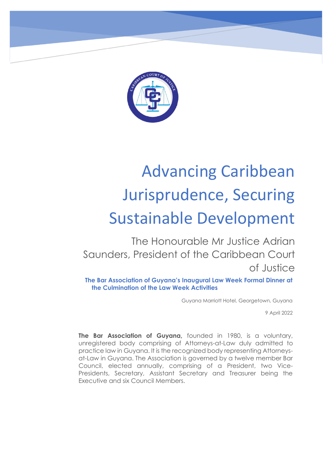

## Advancing Caribbean Jurisprudence, Securing Sustainable Development

The Honourable Mr Justice Adrian Saunders, President of the Caribbean Court of Justice

**The Bar Association of Guyana's Inaugural Law Week Formal Dinner at the Culmination of the Law Week Activities**

Guyana Marriott Hotel, Georgetown, Guyana

9 April 2022

**The Bar Association of Guyana,** founded in 1980, is a voluntary, unregistered body comprising of Attorneys-at-Law duly admitted to practice law in Guyana. It is the recognized body representing Attorneysat-Law in Guyana. The Association is governed by a twelve member Bar Council, elected annually, comprising of a President, two Vice-Presidents, Secretary, Assistant Secretary and Treasurer being the Executive and six Council Members.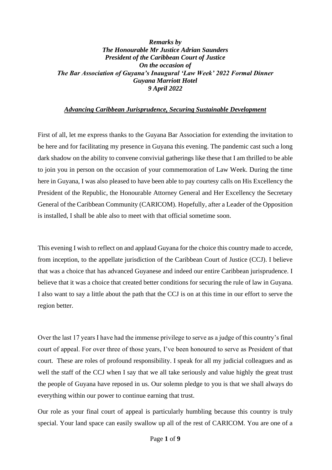## *Remarks by The Honourable Mr Justice Adrian Saunders President of the Caribbean Court of Justice On the occasion of The Bar Association of Guyana's Inaugural 'Law Week' 2022 Formal Dinner Guyana Marriott Hotel 9 April 2022*

## *Advancing Caribbean Jurisprudence, Securing Sustainable Development*

First of all, let me express thanks to the Guyana Bar Association for extending the invitation to be here and for facilitating my presence in Guyana this evening. The pandemic cast such a long dark shadow on the ability to convene convivial gatherings like these that I am thrilled to be able to join you in person on the occasion of your commemoration of Law Week. During the time here in Guyana, I was also pleased to have been able to pay courtesy calls on His Excellency the President of the Republic, the Honourable Attorney General and Her Excellency the Secretary General of the Caribbean Community (CARICOM). Hopefully, after a Leader of the Opposition is installed, I shall be able also to meet with that official sometime soon.

This evening I wish to reflect on and applaud Guyana for the choice this country made to accede, from inception, to the appellate jurisdiction of the Caribbean Court of Justice (CCJ). I believe that was a choice that has advanced Guyanese and indeed our entire Caribbean jurisprudence. I believe that it was a choice that created better conditions for securing the rule of law in Guyana. I also want to say a little about the path that the CCJ is on at this time in our effort to serve the region better.

Over the last 17 years I have had the immense privilege to serve as a judge of this country's final court of appeal. For over three of those years, I've been honoured to serve as President of that court. These are roles of profound responsibility. I speak for all my judicial colleagues and as well the staff of the CCJ when I say that we all take seriously and value highly the great trust the people of Guyana have reposed in us. Our solemn pledge to you is that we shall always do everything within our power to continue earning that trust.

Our role as your final court of appeal is particularly humbling because this country is truly special. Your land space can easily swallow up all of the rest of CARICOM. You are one of a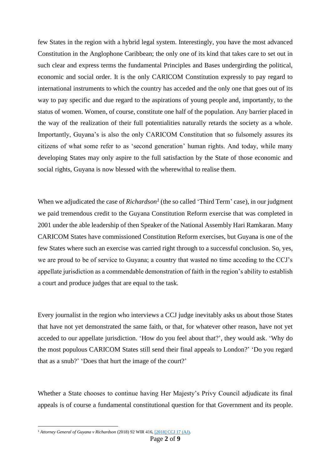few States in the region with a hybrid legal system. Interestingly, you have the most advanced Constitution in the Anglophone Caribbean; the only one of its kind that takes care to set out in such clear and express terms the fundamental Principles and Bases undergirding the political, economic and social order. It is the only CARICOM Constitution expressly to pay regard to international instruments to which the country has acceded and the only one that goes out of its way to pay specific and due regard to the aspirations of young people and, importantly, to the status of women. Women, of course, constitute one half of the population. Any barrier placed in the way of the realization of their full potentialities naturally retards the society as a whole. Importantly, Guyana's is also the only CARICOM Constitution that so fulsomely assures its citizens of what some refer to as 'second generation' human rights. And today, while many developing States may only aspire to the full satisfaction by the State of those economic and social rights, Guyana is now blessed with the wherewithal to realise them.

When we adjudicated the case of *Richardson<sup>1</sup>* (the so called 'Third Term' case), in our judgment we paid tremendous credit to the Guyana Constitution Reform exercise that was completed in 2001 under the able leadership of then Speaker of the National Assembly Hari Ramkaran. Many CARICOM States have commissioned Constitution Reform exercises, but Guyana is one of the few States where such an exercise was carried right through to a successful conclusion. So, yes, we are proud to be of service to Guyana; a country that wasted no time acceding to the CCJ's appellate jurisdiction as a commendable demonstration of faith in the region's ability to establish a court and produce judges that are equal to the task.

Every journalist in the region who interviews a CCJ judge inevitably asks us about those States that have not yet demonstrated the same faith, or that, for whatever other reason, have not yet acceded to our appellate jurisdiction. 'How do you feel about that?', they would ask. 'Why do the most populous CARICOM States still send their final appeals to London?' 'Do you regard that as a snub?' 'Does that hurt the image of the court?'

Whether a State chooses to continue having Her Majesty's Privy Council adjudicate its final appeals is of course a fundamental constitutional question for that Government and its people.

<sup>1</sup> *Attorney General of Guyana v Richardson* (2018) 92 WIR 416, [\[2018\] CCJ 17 \(AJ\).](http://www.ccj.org/wp-content/uploads/2021/02/2018-CCJ-17-AJ-1.pdf)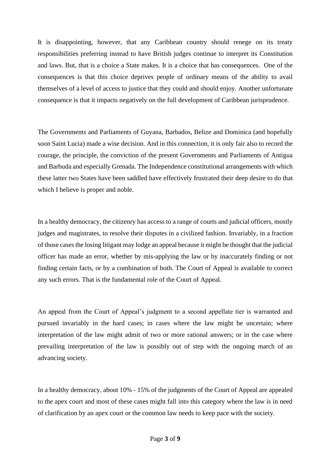It is disappointing, however, that any Caribbean country should renege on its treaty responsibilities preferring instead to have British judges continue to interpret its Constitution and laws. But, that is a choice a State makes. It is a choice that has consequences. One of the consequences is that this choice deprives people of ordinary means of the ability to avail themselves of a level of access to justice that they could and should enjoy. Another unfortunate consequence is that it impacts negatively on the full development of Caribbean jurisprudence.

The Governments and Parliaments of Guyana, Barbados, Belize and Dominica (and hopefully soon Saint Lucia) made a wise decision. And in this connection, it is only fair also to record the courage, the principle, the conviction of the present Governments and Parliaments of Antigua and Barbuda and especially Grenada. The Independence constitutional arrangements with which these latter two States have been saddled have effectively frustrated their deep desire to do that which I believe is proper and noble.

In a healthy democracy, the citizenry has access to a range of courts and judicial officers, mostly judges and magistrates, to resolve their disputes in a civilized fashion. Invariably, in a fraction of those cases the losing litigant may lodge an appeal because it might be thought that the judicial officer has made an error, whether by mis-applying the law or by inaccurately finding or not finding certain facts, or by a combination of both. The Court of Appeal is available to correct any such errors. That is the fundamental role of the Court of Appeal.

An appeal from the Court of Appeal's judgment to a second appellate tier is warranted and pursued invariably in the hard cases; in cases where the law might be uncertain; where interpretation of the law might admit of two or more rational answers; or in the case where prevailing interpretation of the law is possibly out of step with the ongoing march of an advancing society.

In a healthy democracy, about 10% - 15% of the judgments of the Court of Appeal are appealed to the apex court and most of these cases might fall into this category where the law is in need of clarification by an apex court or the common law needs to keep pace with the society.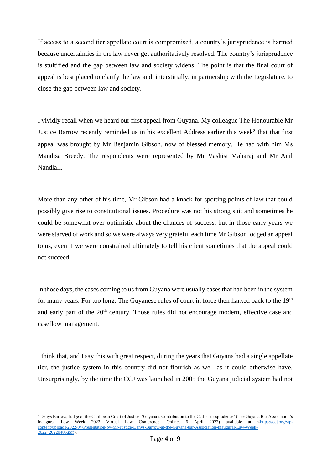If access to a second tier appellate court is compromised, a country's jurisprudence is harmed because uncertainties in the law never get authoritatively resolved. The country's jurisprudence is stultified and the gap between law and society widens. The point is that the final court of appeal is best placed to clarify the law and, interstitially, in partnership with the Legislature, to close the gap between law and society.

I vividly recall when we heard our first appeal from Guyana. My colleague The Honourable Mr Justice Barrow recently reminded us in his excellent Address earlier this week<sup>2</sup> that that first appeal was brought by Mr Benjamin Gibson, now of blessed memory. He had with him Ms Mandisa Breedy. The respondents were represented by Mr Vashist Maharaj and Mr Anil Nandlall.

More than any other of his time, Mr Gibson had a knack for spotting points of law that could possibly give rise to constitutional issues. Procedure was not his strong suit and sometimes he could be somewhat over optimistic about the chances of success, but in those early years we were starved of work and so we were always very grateful each time Mr Gibson lodged an appeal to us, even if we were constrained ultimately to tell his client sometimes that the appeal could not succeed.

In those days, the cases coming to us from Guyana were usually cases that had been in the system for many years. For too long. The Guyanese rules of court in force then harked back to the  $19<sup>th</sup>$ and early part of the 20<sup>th</sup> century. Those rules did not encourage modern, effective case and caseflow management.

I think that, and I say this with great respect, during the years that Guyana had a single appellate tier, the justice system in this country did not flourish as well as it could otherwise have. Unsurprisingly, by the time the CCJ was launched in 2005 the Guyana judicial system had not

<sup>2</sup> Denys Barrow, Judge of the Caribbean Court of Justice, 'Guyana's Contribution to the CCJ's Jurisprudence' (The Guyana Bar Association's Inaugural Law Week 2022 Virtual Law Conference, Online, 6 April 2022) available at [<https://ccj.org/wp](https://ccj.org/wp-content/uploads/2022/04/Presentation-by-Mr-Justice-Denys-Barrow-at-the-Guyana-bar-Association-Inaugural-Law-Week-2022_20220406.pdf)[content/uploads/2022/04/Presentation-by-Mr-Justice-Denys-Barrow-at-the-Guyana-bar-Association-Inaugural-Law-Week-](https://ccj.org/wp-content/uploads/2022/04/Presentation-by-Mr-Justice-Denys-Barrow-at-the-Guyana-bar-Association-Inaugural-Law-Week-2022_20220406.pdf)[2022\\_20220406.pdf>](https://ccj.org/wp-content/uploads/2022/04/Presentation-by-Mr-Justice-Denys-Barrow-at-the-Guyana-bar-Association-Inaugural-Law-Week-2022_20220406.pdf).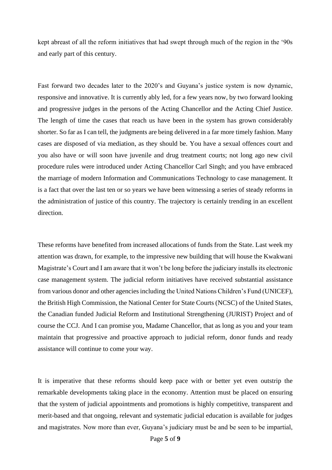kept abreast of all the reform initiatives that had swept through much of the region in the '90s and early part of this century.

Fast forward two decades later to the 2020's and Guyana's justice system is now dynamic, responsive and innovative. It is currently ably led, for a few years now, by two forward looking and progressive judges in the persons of the Acting Chancellor and the Acting Chief Justice. The length of time the cases that reach us have been in the system has grown considerably shorter. So far as I can tell, the judgments are being delivered in a far more timely fashion. Many cases are disposed of via mediation, as they should be. You have a sexual offences court and you also have or will soon have juvenile and drug treatment courts; not long ago new civil procedure rules were introduced under Acting Chancellor Carl Singh; and you have embraced the marriage of modern Information and Communications Technology to case management. It is a fact that over the last ten or so years we have been witnessing a series of steady reforms in the administration of justice of this country. The trajectory is certainly trending in an excellent direction.

These reforms have benefited from increased allocations of funds from the State. Last week my attention was drawn, for example, to the impressive new building that will house the Kwakwani Magistrate's Court and I am aware that it won't be long before the judiciary installs its electronic case management system. The judicial reform initiatives have received substantial assistance from various donor and other agencies including the United Nations Children's Fund (UNICEF), the British High Commission, the National Center for State Courts (NCSC) of the United States, the Canadian funded Judicial Reform and Institutional Strengthening (JURIST) Project and of course the CCJ. And I can promise you, Madame Chancellor, that as long as you and your team maintain that progressive and proactive approach to judicial reform, donor funds and ready assistance will continue to come your way.

It is imperative that these reforms should keep pace with or better yet even outstrip the remarkable developments taking place in the economy. Attention must be placed on ensuring that the system of judicial appointments and promotions is highly competitive, transparent and merit-based and that ongoing, relevant and systematic judicial education is available for judges and magistrates. Now more than ever, Guyana's judiciary must be and be seen to be impartial,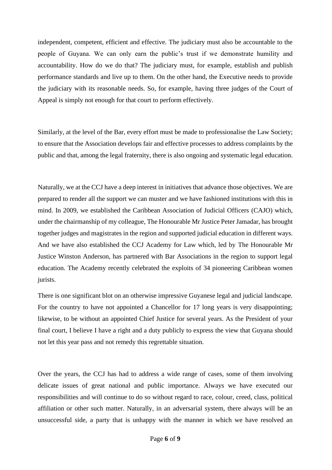independent, competent, efficient and effective. The judiciary must also be accountable to the people of Guyana. We can only earn the public's trust if we demonstrate humility and accountability. How do we do that? The judiciary must, for example, establish and publish performance standards and live up to them. On the other hand, the Executive needs to provide the judiciary with its reasonable needs. So, for example, having three judges of the Court of Appeal is simply not enough for that court to perform effectively.

Similarly, at the level of the Bar, every effort must be made to professionalise the Law Society; to ensure that the Association develops fair and effective processes to address complaints by the public and that, among the legal fraternity, there is also ongoing and systematic legal education.

Naturally, we at the CCJ have a deep interest in initiatives that advance those objectives. We are prepared to render all the support we can muster and we have fashioned institutions with this in mind. In 2009, we established the Caribbean Association of Judicial Officers (CAJO) which, under the chairmanship of my colleague, The Honourable Mr Justice Peter Jamadar, has brought together judges and magistrates in the region and supported judicial education in different ways. And we have also established the CCJ Academy for Law which, led by The Honourable Mr Justice Winston Anderson, has partnered with Bar Associations in the region to support legal education. The Academy recently celebrated the exploits of 34 pioneering Caribbean women jurists.

There is one significant blot on an otherwise impressive Guyanese legal and judicial landscape. For the country to have not appointed a Chancellor for 17 long years is very disappointing; likewise, to be without an appointed Chief Justice for several years. As the President of your final court, I believe I have a right and a duty publicly to express the view that Guyana should not let this year pass and not remedy this regrettable situation.

Over the years, the CCJ has had to address a wide range of cases, some of them involving delicate issues of great national and public importance. Always we have executed our responsibilities and will continue to do so without regard to race, colour, creed, class, political affiliation or other such matter. Naturally, in an adversarial system, there always will be an unsuccessful side, a party that is unhappy with the manner in which we have resolved an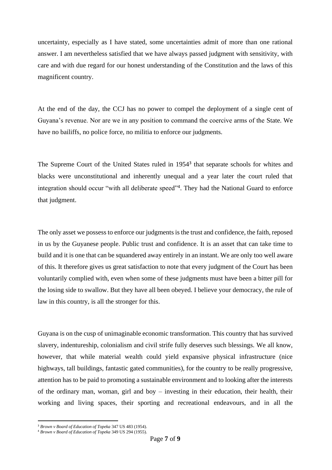uncertainty, especially as I have stated, some uncertainties admit of more than one rational answer. I am nevertheless satisfied that we have always passed judgment with sensitivity, with care and with due regard for our honest understanding of the Constitution and the laws of this magnificent country.

At the end of the day, the CCJ has no power to compel the deployment of a single cent of Guyana's revenue. Nor are we in any position to command the coercive arms of the State. We have no bailiffs, no police force, no militia to enforce our judgments.

The Supreme Court of the United States ruled in 1954<sup>3</sup> that separate schools for whites and blacks were unconstitutional and inherently unequal and a year later the court ruled that integration should occur "with all deliberate speed"<sup>4</sup>. They had the National Guard to enforce that judgment.

The only asset we possess to enforce our judgments is the trust and confidence, the faith, reposed in us by the Guyanese people. Public trust and confidence. It is an asset that can take time to build and it is one that can be squandered away entirely in an instant. We are only too well aware of this. It therefore gives us great satisfaction to note that every judgment of the Court has been voluntarily complied with, even when some of these judgments must have been a bitter pill for the losing side to swallow. But they have all been obeyed. I believe your democracy, the rule of law in this country, is all the stronger for this.

Guyana is on the cusp of unimaginable economic transformation. This country that has survived slavery, indentureship, colonialism and civil strife fully deserves such blessings. We all know, however, that while material wealth could yield expansive physical infrastructure (nice highways, tall buildings, fantastic gated communities), for the country to be really progressive, attention has to be paid to promoting a sustainable environment and to looking after the interests of the ordinary man, woman, girl and boy – investing in their education, their health, their working and living spaces, their sporting and recreational endeavours, and in all the

<sup>3</sup> *Brown v Board of Education of Topeka* 347 US 483 (1954).

<sup>4</sup> *Brown v Board of Education of Topeka* 349 US 294 (1955).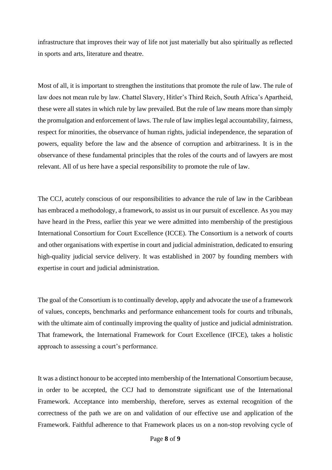infrastructure that improves their way of life not just materially but also spiritually as reflected in sports and arts, literature and theatre.

Most of all, it is important to strengthen the institutions that promote the rule of law. The rule of law does not mean rule by law. Chattel Slavery, Hitler's Third Reich, South Africa's Apartheid, these were all states in which rule by law prevailed. But the rule of law means more than simply the promulgation and enforcement of laws. The rule of law implies legal accountability, fairness, respect for minorities, the observance of human rights, judicial independence, the separation of powers, equality before the law and the absence of corruption and arbitrariness. It is in the observance of these fundamental principles that the roles of the courts and of lawyers are most relevant. All of us here have a special responsibility to promote the rule of law.

The CCJ, acutely conscious of our responsibilities to advance the rule of law in the Caribbean has embraced a methodology, a framework, to assist us in our pursuit of excellence. As you may have heard in the Press, earlier this year we were admitted into membership of the prestigious International Consortium for Court Excellence (ICCE). The Consortium is a network of courts and other organisations with expertise in court and judicial administration, dedicated to ensuring high-quality judicial service delivery. It was established in 2007 by founding members with expertise in court and judicial administration.

The goal of the Consortium is to continually develop, apply and advocate the use of a framework of values, concepts, benchmarks and performance enhancement tools for courts and tribunals, with the ultimate aim of continually improving the quality of justice and judicial administration. That framework, the International Framework for Court Excellence (IFCE), takes a holistic approach to assessing a court's performance.

It was a distinct honour to be accepted into membership of the International Consortium because, in order to be accepted, the CCJ had to demonstrate significant use of the International Framework. Acceptance into membership, therefore, serves as external recognition of the correctness of the path we are on and validation of our effective use and application of the Framework. Faithful adherence to that Framework places us on a non-stop revolving cycle of